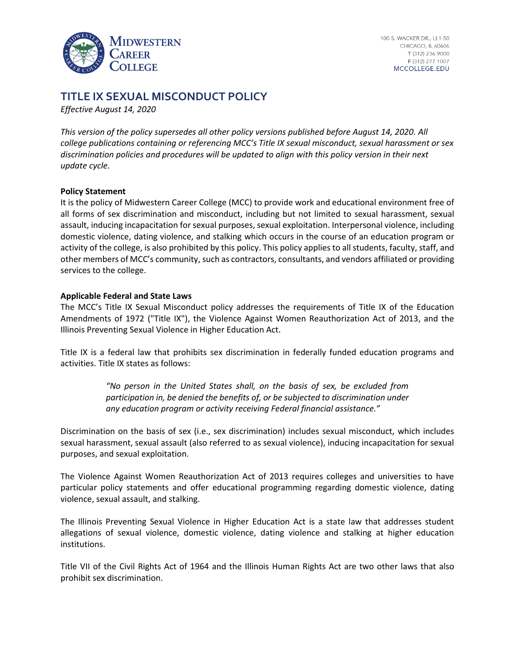

# **TITLE IX SEXUAL MISCONDUCT POLICY**

*Effective August 14, 2020*

*This version of the policy supersedes all other policy versions published before August 14, 2020. All college publications containing or referencing MCC's Title IX sexual misconduct, sexual harassment or sex discrimination policies and procedures will be updated to align with this policy version in their next update cycle.*

#### **Policy Statement**

It is the policy of Midwestern Career College (MCC) to provide work and educational environment free of all forms of sex discrimination and misconduct, including but not limited to sexual harassment, sexual assault, inducing incapacitation for sexual purposes, sexual exploitation. Interpersonal violence, including domestic violence, dating violence, and stalking which occurs in the course of an education program or activity of the college, is also prohibited by this policy. This policy applies to all students, faculty, staff, and other members of MCC's community, such as contractors, consultants, and vendors affiliated or providing services to the college.

#### **Applicable Federal and State Laws**

The MCC's Title IX Sexual Misconduct policy addresses the requirements of Title IX of the Education Amendments of 1972 ("Title IX"), the Violence Against Women Reauthorization Act of 2013, and the Illinois Preventing Sexual Violence in Higher Education Act.

Title IX is a federal law that prohibits sex discrimination in federally funded education programs and activities. Title IX states as follows:

> *"No person in the United States shall, on the basis of sex, be excluded from participation in, be denied the benefits of, or be subjected to discrimination under any education program or activity receiving Federal financial assistance."*

Discrimination on the basis of sex (i.e., sex discrimination) includes sexual misconduct, which includes sexual harassment, sexual assault (also referred to as sexual violence), inducing incapacitation for sexual purposes, and sexual exploitation.

The Violence Against Women Reauthorization Act of 2013 requires colleges and universities to have particular policy statements and offer educational programming regarding domestic violence, dating violence, sexual assault, and stalking.

The Illinois Preventing Sexual Violence in Higher Education Act is a state law that addresses student allegations of sexual violence, domestic violence, dating violence and stalking at higher education institutions.

Title VII of the Civil Rights Act of 1964 and the Illinois Human Rights Act are two other laws that also prohibit sex discrimination.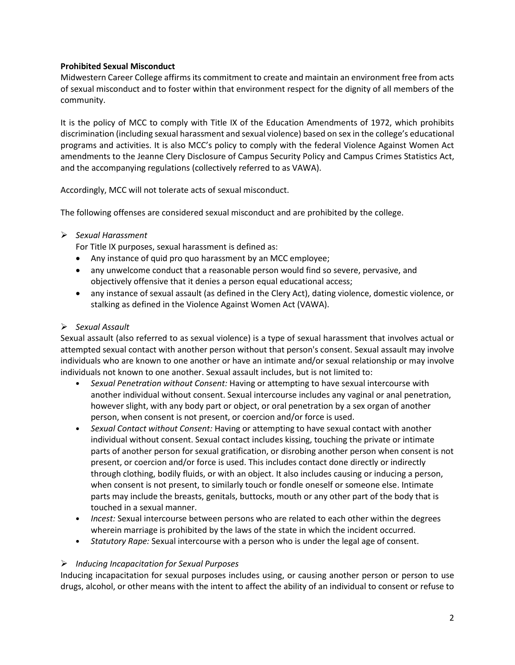# **Prohibited Sexual Misconduct**

Midwestern Career College affirms its commitment to create and maintain an environment free from acts of sexual misconduct and to foster within that environment respect for the dignity of all members of the community.

It is the policy of MCC to comply with Title IX of the Education Amendments of 1972, which prohibits discrimination (including sexual harassment and sexual violence) based on sex in the college's educational programs and activities. It is also MCC's policy to comply with the federal Violence Against Women Act amendments to the Jeanne Clery Disclosure of Campus Security Policy and Campus Crimes Statistics Act, and the accompanying regulations (collectively referred to as VAWA).

Accordingly, MCC will not tolerate acts of sexual misconduct.

The following offenses are considered sexual misconduct and are prohibited by the college.

# ➢ *Sexual Harassment*

For Title IX purposes, sexual harassment is defined as:

- Any instance of quid pro quo harassment by an MCC employee;
- any unwelcome conduct that a reasonable person would find so severe, pervasive, and objectively offensive that it denies a person equal educational access;
- any instance of sexual assault (as defined in the Clery Act), dating violence, domestic violence, or stalking as defined in the Violence Against Women Act (VAWA).

# ➢ *Sexual Assault*

Sexual assault (also referred to as sexual violence) is a type of sexual harassment that involves actual or attempted sexual contact with another person without that person's consent. Sexual assault may involve individuals who are known to one another or have an intimate and/or sexual relationship or may involve individuals not known to one another. Sexual assault includes, but is not limited to:

- *Sexual Penetration without Consent:* Having or attempting to have sexual intercourse with another individual without consent. Sexual intercourse includes any vaginal or anal penetration, however slight, with any body part or object, or oral penetration by a sex organ of another person, when consent is not present, or coercion and/or force is used.
- *Sexual Contact without Consent:* Having or attempting to have sexual contact with another individual without consent. Sexual contact includes kissing, touching the private or intimate parts of another person for sexual gratification, or disrobing another person when consent is not present, or coercion and/or force is used. This includes contact done directly or indirectly through clothing, bodily fluids, or with an object. It also includes causing or inducing a person, when consent is not present, to similarly touch or fondle oneself or someone else. Intimate parts may include the breasts, genitals, buttocks, mouth or any other part of the body that is touched in a sexual manner.
- *Incest:* Sexual intercourse between persons who are related to each other within the degrees wherein marriage is prohibited by the laws of the state in which the incident occurred.
- *Statutory Rape:* Sexual intercourse with a person who is under the legal age of consent.

# ➢ *Inducing Incapacitation for Sexual Purposes*

Inducing incapacitation for sexual purposes includes using, or causing another person or person to use drugs, alcohol, or other means with the intent to affect the ability of an individual to consent or refuse to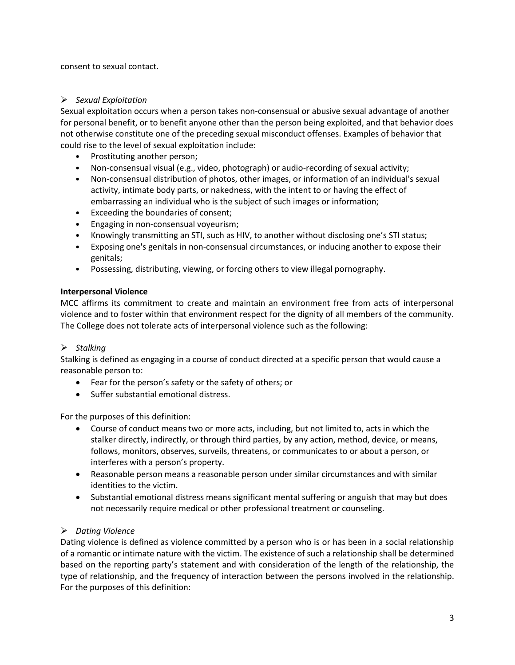consent to sexual contact.

### ➢ *Sexual Exploitation*

Sexual exploitation occurs when a person takes non-consensual or abusive sexual advantage of another for personal benefit, or to benefit anyone other than the person being exploited, and that behavior does not otherwise constitute one of the preceding sexual misconduct offenses. Examples of behavior that could rise to the level of sexual exploitation include:

- Prostituting another person;
- Non-consensual visual (e.g., video, photograph) or audio-recording of sexual activity;
- Non-consensual distribution of photos, other images, or information of an individual's sexual activity, intimate body parts, or nakedness, with the intent to or having the effect of embarrassing an individual who is the subject of such images or information;
- Exceeding the boundaries of consent;
- Engaging in non-consensual voyeurism;
- Knowingly transmitting an STI, such as HIV, to another without disclosing one's STI status;
- Exposing one's genitals in non-consensual circumstances, or inducing another to expose their genitals;
- Possessing, distributing, viewing, or forcing others to view illegal pornography.

# **Interpersonal Violence**

MCC affirms its commitment to create and maintain an environment free from acts of interpersonal violence and to foster within that environment respect for the dignity of all members of the community. The College does not tolerate acts of interpersonal violence such as the following:

# ➢ *Stalking*

Stalking is defined as engaging in a course of conduct directed at a specific person that would cause a reasonable person to:

- Fear for the person's safety or the safety of others; or
- Suffer substantial emotional distress.

For the purposes of this definition:

- Course of conduct means two or more acts, including, but not limited to, acts in which the stalker directly, indirectly, or through third parties, by any action, method, device, or means, follows, monitors, observes, surveils, threatens, or communicates to or about a person, or interferes with a person's property.
- Reasonable person means a reasonable person under similar circumstances and with similar identities to the victim.
- Substantial emotional distress means significant mental suffering or anguish that may but does not necessarily require medical or other professional treatment or counseling.

# ➢ *Dating Violence*

Dating violence is defined as violence committed by a person who is or has been in a social relationship of a romantic or intimate nature with the victim. The existence of such a relationship shall be determined based on the reporting party's statement and with consideration of the length of the relationship, the type of relationship, and the frequency of interaction between the persons involved in the relationship. For the purposes of this definition: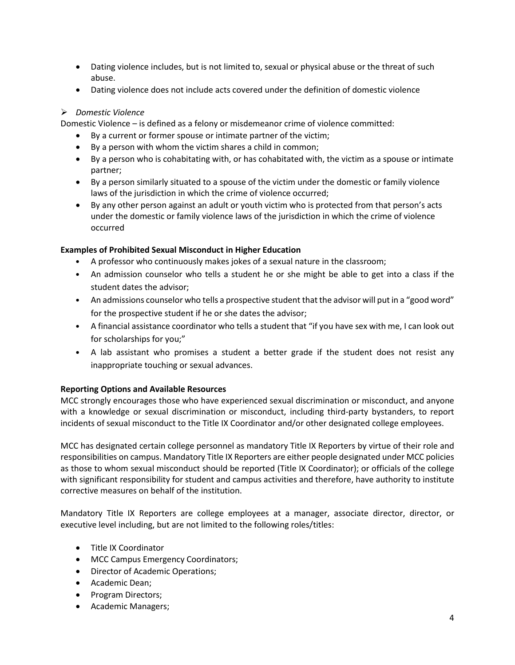- Dating violence includes, but is not limited to, sexual or physical abuse or the threat of such abuse.
- Dating violence does not include acts covered under the definition of domestic violence

# ➢ *Domestic Violence*

Domestic Violence – is defined as a felony or misdemeanor crime of violence committed:

- By a current or former spouse or intimate partner of the victim;
- By a person with whom the victim shares a child in common;
- By a person who is cohabitating with, or has cohabitated with, the victim as a spouse or intimate partner;
- By a person similarly situated to a spouse of the victim under the domestic or family violence laws of the jurisdiction in which the crime of violence occurred;
- By any other person against an adult or youth victim who is protected from that person's acts under the domestic or family violence laws of the jurisdiction in which the crime of violence occurred

# **Examples of Prohibited Sexual Misconduct in Higher Education**

- A professor who continuously makes jokes of a sexual nature in the classroom;
- An admission counselor who tells a student he or she might be able to get into a class if the student dates the advisor;
- An admissions counselor who tells a prospective student that the advisor will put in a "good word" for the prospective student if he or she dates the advisor;
- A financial assistance coordinator who tells a student that "if you have sex with me, I can look out for scholarships for you;"
- A lab assistant who promises a student a better grade if the student does not resist any inappropriate touching or sexual advances.

# **Reporting Options and Available Resources**

MCC strongly encourages those who have experienced sexual discrimination or misconduct, and anyone with a knowledge or sexual discrimination or misconduct, including third-party bystanders, to report incidents of sexual misconduct to the Title IX Coordinator and/or other designated college employees.

MCC has designated certain college personnel as mandatory Title IX Reporters by virtue of their role and responsibilities on campus. Mandatory Title IX Reporters are either people designated under MCC policies as those to whom sexual misconduct should be reported (Title IX Coordinator); or officials of the college with significant responsibility for student and campus activities and therefore, have authority to institute corrective measures on behalf of the institution.

Mandatory Title IX Reporters are college employees at a manager, associate director, director, or executive level including, but are not limited to the following roles/titles:

- Title IX Coordinator
- MCC Campus Emergency Coordinators;
- Director of Academic Operations;
- Academic Dean;
- Program Directors;
- Academic Managers;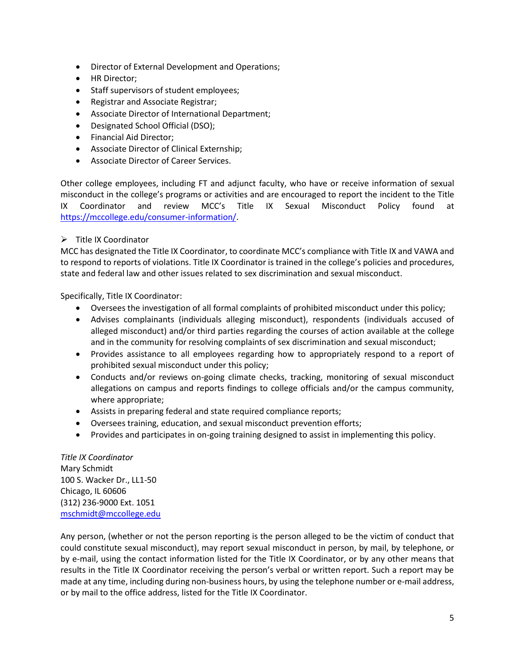- Director of External Development and Operations;
- HR Director;
- Staff supervisors of student employees;
- Registrar and Associate Registrar;
- Associate Director of International Department;
- Designated School Official (DSO);
- Financial Aid Director;
- Associate Director of Clinical Externship;
- Associate Director of Career Services.

Other college employees, including FT and adjunct faculty, who have or receive information of sexual misconduct in the college's programs or activities and are encouraged to report the incident to the Title IX Coordinator and review MCC's Title IX Sexual Misconduct Policy found at [https://mccollege.edu/consumer-information/.](https://mccollege.edu/consumer-information/)

# ➢ Title IX Coordinator

MCC has designated the Title IX Coordinator, to coordinate MCC's compliance with Title IX and VAWA and to respond to reports of violations. Title IX Coordinator is trained in the college's policies and procedures, state and federal law and other issues related to sex discrimination and sexual misconduct.

Specifically, Title IX Coordinator:

- Oversees the investigation of all formal complaints of prohibited misconduct under this policy;
- Advises complainants (individuals alleging misconduct), respondents (individuals accused of alleged misconduct) and/or third parties regarding the courses of action available at the college and in the community for resolving complaints of sex discrimination and sexual misconduct;
- Provides assistance to all employees regarding how to appropriately respond to a report of prohibited sexual misconduct under this policy;
- Conducts and/or reviews on-going climate checks, tracking, monitoring of sexual misconduct allegations on campus and reports findings to college officials and/or the campus community, where appropriate;
- Assists in preparing federal and state required compliance reports;
- Oversees training, education, and sexual misconduct prevention efforts;
- Provides and participates in on-going training designed to assist in implementing this policy.

*Title IX Coordinator* Mary Schmidt 100 S. Wacker Dr., LL1-50 Chicago, IL 60606 (312) 236-9000 Ext. 1051 [mschmidt@mccollege.edu](mailto:mschmidt@mccollege.edu)

Any person, (whether or not the person reporting is the person alleged to be the victim of conduct that could constitute sexual misconduct), may report sexual misconduct in person, by mail, by telephone, or by e-mail, using the contact information listed for the Title IX Coordinator, or by any other means that results in the Title IX Coordinator receiving the person's verbal or written report. Such a report may be made at any time, including during non-business hours, by using the telephone number or e-mail address, or by mail to the office address, listed for the Title IX Coordinator.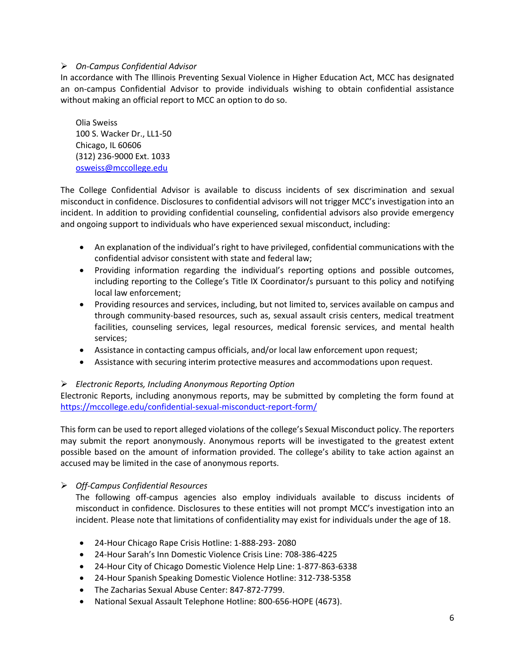# ➢ *On-Campus Confidential Advisor*

In accordance with The Illinois Preventing Sexual Violence in Higher Education Act, MCC has designated an on-campus Confidential Advisor to provide individuals wishing to obtain confidential assistance without making an official report to MCC an option to do so.

Olia Sweiss 100 S. Wacker Dr., LL1-50 Chicago, IL 60606 (312) 236-9000 Ext. 1033 [osweiss@mccollege.edu](mailto:osweiss@mccollege.edu)

The College Confidential Advisor is available to discuss incidents of sex discrimination and sexual misconduct in confidence. Disclosures to confidential advisors will not trigger MCC's investigation into an incident. In addition to providing confidential counseling, confidential advisors also provide emergency and ongoing support to individuals who have experienced sexual misconduct, including:

- An explanation of the individual's right to have privileged, confidential communications with the confidential advisor consistent with state and federal law;
- Providing information regarding the individual's reporting options and possible outcomes, including reporting to the College's Title IX Coordinator/s pursuant to this policy and notifying local law enforcement;
- Providing resources and services, including, but not limited to, services available on campus and through community-based resources, such as, sexual assault crisis centers, medical treatment facilities, counseling services, legal resources, medical forensic services, and mental health services;
- Assistance in contacting campus officials, and/or local law enforcement upon request;
- Assistance with securing interim protective measures and accommodations upon request.

### ➢ *Electronic Reports, Including Anonymous Reporting Option*

Electronic Reports, including anonymous reports, may be submitted by completing the form found at <https://mccollege.edu/confidential-sexual-misconduct-report-form/>

This form can be used to report alleged violations of the college's Sexual Misconduct policy. The reporters may submit the report anonymously. Anonymous reports will be investigated to the greatest extent possible based on the amount of information provided. The college's ability to take action against an accused may be limited in the case of anonymous reports.

### ➢ *Off-Campus Confidential Resources*

The following off-campus agencies also employ individuals available to discuss incidents of misconduct in confidence. Disclosures to these entities will not prompt MCC's investigation into an incident. Please note that limitations of confidentiality may exist for individuals under the age of 18.

- 24-Hour Chicago Rape Crisis Hotline: 1-888-293- 2080
- 24-Hour Sarah's Inn Domestic Violence Crisis Line: 708-386-4225
- 24-Hour City of Chicago Domestic Violence Help Line: 1-877-863-6338
- 24-Hour Spanish Speaking Domestic Violence Hotline: 312-738-5358
- The Zacharias Sexual Abuse Center: 847-872-7799.
- National Sexual Assault Telephone Hotline: 800-656-HOPE (4673).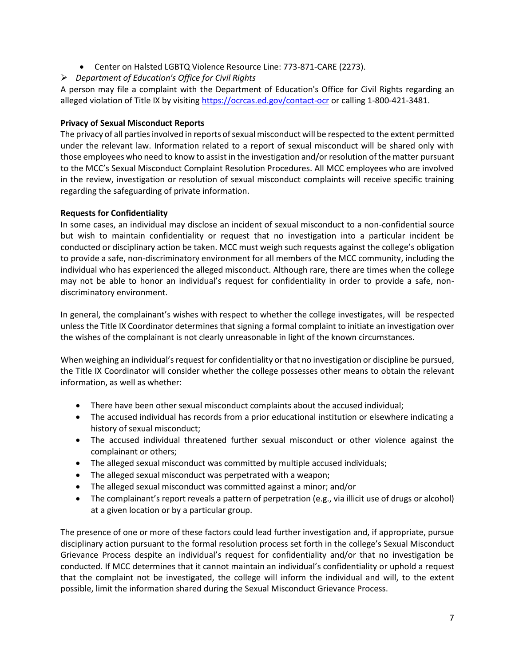- Center on Halsted LGBTQ Violence Resource Line: 773-871-CARE (2273).
- ➢ *Department of Education's Office for Civil Rights*

A person may file a complaint with the Department of Education's Office for Civil Rights regarding an alleged violation of Title IX by visiting<https://ocrcas.ed.gov/contact-ocr> or calling 1-800-421-3481.

# **Privacy of Sexual Misconduct Reports**

The privacy of all parties involved in reports of sexual misconduct will be respected to the extent permitted under the relevant law. Information related to a report of sexual misconduct will be shared only with those employees who need to know to assist in the investigation and/or resolution of the matter pursuant to the MCC's Sexual Misconduct Complaint Resolution Procedures. All MCC employees who are involved in the review, investigation or resolution of sexual misconduct complaints will receive specific training regarding the safeguarding of private information.

# **Requests for Confidentiality**

In some cases, an individual may disclose an incident of sexual misconduct to a non-confidential source but wish to maintain confidentiality or request that no investigation into a particular incident be conducted or disciplinary action be taken. MCC must weigh such requests against the college's obligation to provide a safe, non-discriminatory environment for all members of the MCC community, including the individual who has experienced the alleged misconduct. Although rare, there are times when the college may not be able to honor an individual's request for confidentiality in order to provide a safe, nondiscriminatory environment.

In general, the complainant's wishes with respect to whether the college investigates, will be respected unless the Title IX Coordinator determines that signing a formal complaint to initiate an investigation over the wishes of the complainant is not clearly unreasonable in light of the known circumstances.

When weighing an individual's request for confidentiality or that no investigation or discipline be pursued, the Title IX Coordinator will consider whether the college possesses other means to obtain the relevant information, as well as whether:

- There have been other sexual misconduct complaints about the accused individual;
- The accused individual has records from a prior educational institution or elsewhere indicating a history of sexual misconduct;
- The accused individual threatened further sexual misconduct or other violence against the complainant or others;
- The alleged sexual misconduct was committed by multiple accused individuals;
- The alleged sexual misconduct was perpetrated with a weapon;
- The alleged sexual misconduct was committed against a minor; and/or
- The complainant's report reveals a pattern of perpetration (e.g., via illicit use of drugs or alcohol) at a given location or by a particular group.

The presence of one or more of these factors could lead further investigation and, if appropriate, pursue disciplinary action pursuant to the formal resolution process set forth in the college's Sexual Misconduct Grievance Process despite an individual's request for confidentiality and/or that no investigation be conducted. If MCC determines that it cannot maintain an individual's confidentiality or uphold a request that the complaint not be investigated, the college will inform the individual and will, to the extent possible, limit the information shared during the Sexual Misconduct Grievance Process.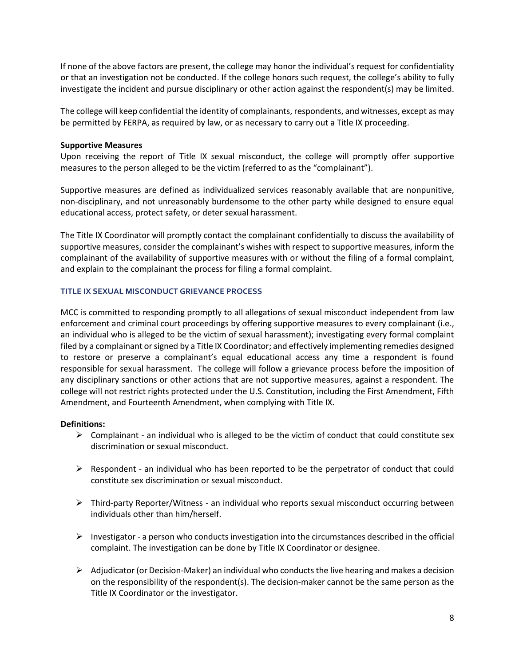If none of the above factors are present, the college may honor the individual's request for confidentiality or that an investigation not be conducted. If the college honors such request, the college's ability to fully investigate the incident and pursue disciplinary or other action against the respondent(s) may be limited.

The college will keep confidential the identity of complainants, respondents, and witnesses, except as may be permitted by FERPA, as required by law, or as necessary to carry out a Title IX proceeding.

### **Supportive Measures**

Upon receiving the report of Title IX sexual misconduct, the college will promptly offer supportive measures to the person alleged to be the victim (referred to as the "complainant").

Supportive measures are defined as individualized services reasonably available that are nonpunitive, non-disciplinary, and not unreasonably burdensome to the other party while designed to ensure equal educational access, protect safety, or deter sexual harassment.

The Title IX Coordinator will promptly contact the complainant confidentially to discuss the availability of supportive measures, consider the complainant's wishes with respect to supportive measures, inform the complainant of the availability of supportive measures with or without the filing of a formal complaint, and explain to the complainant the process for filing a formal complaint.

### **TITLE IX SEXUAL MISCONDUCT GRIEVANCE PROCESS**

MCC is committed to responding promptly to all allegations of sexual misconduct independent from law enforcement and criminal court proceedings by offering supportive measures to every complainant (i.e., an individual who is alleged to be the victim of sexual harassment); investigating every formal complaint filed by a complainant or signed by a Title IX Coordinator; and effectively implementing remedies designed to restore or preserve a complainant's equal educational access any time a respondent is found responsible for sexual harassment. The college will follow a grievance process before the imposition of any disciplinary sanctions or other actions that are not supportive measures, against a respondent. The college will not restrict rights protected under the U.S. Constitution, including the First Amendment, Fifth Amendment, and Fourteenth Amendment, when complying with Title IX.

#### **Definitions:**

- $\triangleright$  Complainant an individual who is alleged to be the victim of conduct that could constitute sex discrimination or sexual misconduct.
- $\triangleright$  Respondent an individual who has been reported to be the perpetrator of conduct that could constitute sex discrimination or sexual misconduct.
- ➢ Third-party Reporter/Witness an individual who reports sexual misconduct occurring between individuals other than him/herself.
- $\triangleright$  Investigator a person who conducts investigation into the circumstances described in the official complaint. The investigation can be done by Title IX Coordinator or designee.
- $\triangleright$  Adjudicator (or Decision-Maker) an individual who conducts the live hearing and makes a decision on the responsibility of the respondent(s). The decision-maker cannot be the same person as the Title IX Coordinator or the investigator.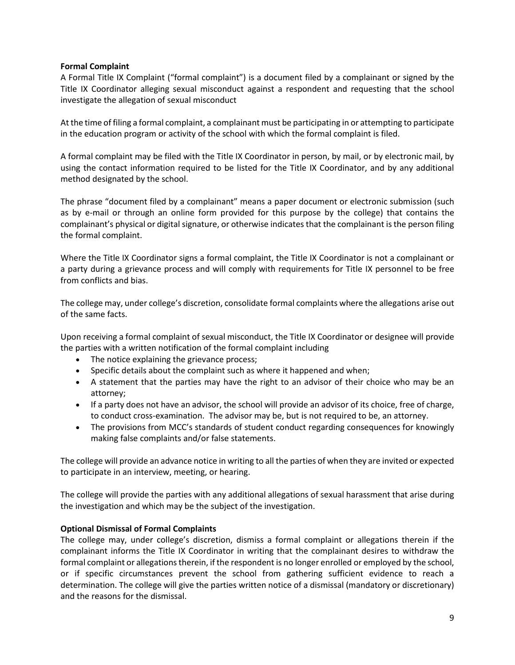### **Formal Complaint**

A Formal Title IX Complaint ("formal complaint") is a document filed by a complainant or signed by the Title IX Coordinator alleging sexual misconduct against a respondent and requesting that the school investigate the allegation of sexual misconduct

At the time of filing a formal complaint, a complainant must be participating in or attempting to participate in the education program or activity of the school with which the formal complaint is filed.

A formal complaint may be filed with the Title IX Coordinator in person, by mail, or by electronic mail, by using the contact information required to be listed for the Title IX Coordinator, and by any additional method designated by the school.

The phrase "document filed by a complainant" means a paper document or electronic submission (such as by e-mail or through an online form provided for this purpose by the college) that contains the complainant's physical or digital signature, or otherwise indicates that the complainant is the person filing the formal complaint.

Where the Title IX Coordinator signs a formal complaint, the Title IX Coordinator is not a complainant or a party during a grievance process and will comply with requirements for Title IX personnel to be free from conflicts and bias.

The college may, under college's discretion, consolidate formal complaints where the allegations arise out of the same facts.

Upon receiving a formal complaint of sexual misconduct, the Title IX Coordinator or designee will provide the parties with a written notification of the formal complaint including

- The notice explaining the grievance process;
- Specific details about the complaint such as where it happened and when;
- A statement that the parties may have the right to an advisor of their choice who may be an attorney;
- If a party does not have an advisor, the school will provide an advisor of its choice, free of charge, to conduct cross-examination. The advisor may be, but is not required to be, an attorney.
- The provisions from MCC's standards of student conduct regarding consequences for knowingly making false complaints and/or false statements.

The college will provide an advance notice in writing to all the parties of when they are invited or expected to participate in an interview, meeting, or hearing.

The college will provide the parties with any additional allegations of sexual harassment that arise during the investigation and which may be the subject of the investigation.

### **Optional Dismissal of Formal Complaints**

The college may, under college's discretion, dismiss a formal complaint or allegations therein if the complainant informs the Title IX Coordinator in writing that the complainant desires to withdraw the formal complaint or allegations therein, if the respondent is no longer enrolled or employed by the school, or if specific circumstances prevent the school from gathering sufficient evidence to reach a determination. The college will give the parties written notice of a dismissal (mandatory or discretionary) and the reasons for the dismissal.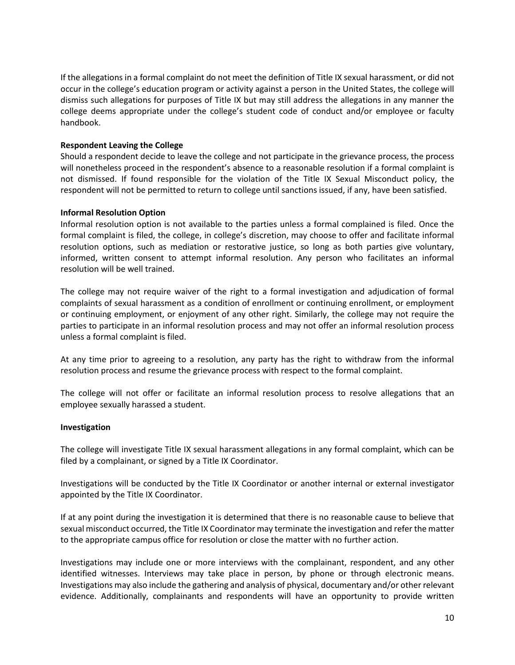If the allegations in a formal complaint do not meet the definition of Title IX sexual harassment, or did not occur in the college's education program or activity against a person in the United States, the college will dismiss such allegations for purposes of Title IX but may still address the allegations in any manner the college deems appropriate under the college's student code of conduct and/or employee or faculty handbook.

### **Respondent Leaving the College**

Should a respondent decide to leave the college and not participate in the grievance process, the process will nonetheless proceed in the respondent's absence to a reasonable resolution if a formal complaint is not dismissed. If found responsible for the violation of the Title IX Sexual Misconduct policy, the respondent will not be permitted to return to college until sanctions issued, if any, have been satisfied.

### **Informal Resolution Option**

Informal resolution option is not available to the parties unless a formal complained is filed. Once the formal complaint is filed, the college, in college's discretion, may choose to offer and facilitate informal resolution options, such as mediation or restorative justice, so long as both parties give voluntary, informed, written consent to attempt informal resolution. Any person who facilitates an informal resolution will be well trained.

The college may not require waiver of the right to a formal investigation and adjudication of formal complaints of sexual harassment as a condition of enrollment or continuing enrollment, or employment or continuing employment, or enjoyment of any other right. Similarly, the college may not require the parties to participate in an informal resolution process and may not offer an informal resolution process unless a formal complaint is filed.

At any time prior to agreeing to a resolution, any party has the right to withdraw from the informal resolution process and resume the grievance process with respect to the formal complaint.

The college will not offer or facilitate an informal resolution process to resolve allegations that an employee sexually harassed a student.

### **Investigation**

The college will investigate Title IX sexual harassment allegations in any formal complaint, which can be filed by a complainant, or signed by a Title IX Coordinator.

Investigations will be conducted by the Title IX Coordinator or another internal or external investigator appointed by the Title IX Coordinator.

If at any point during the investigation it is determined that there is no reasonable cause to believe that sexual misconduct occurred, the Title IX Coordinator may terminate the investigation and refer the matter to the appropriate campus office for resolution or close the matter with no further action.

Investigations may include one or more interviews with the complainant, respondent, and any other identified witnesses. Interviews may take place in person, by phone or through electronic means. Investigations may also include the gathering and analysis of physical, documentary and/or other relevant evidence. Additionally, complainants and respondents will have an opportunity to provide written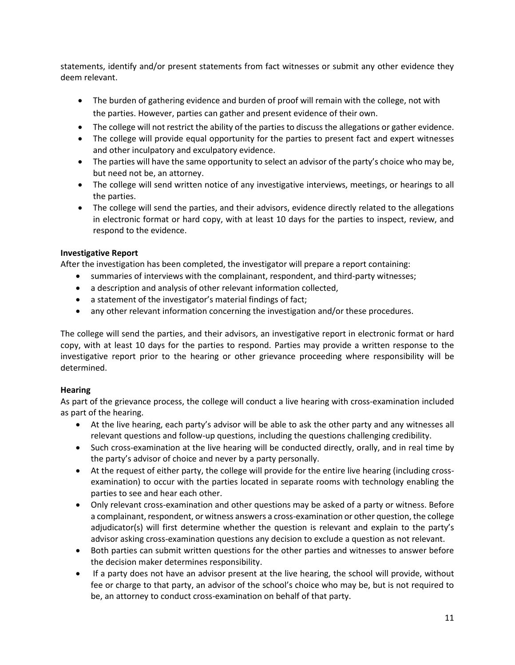statements, identify and/or present statements from fact witnesses or submit any other evidence they deem relevant.

- The burden of gathering evidence and burden of proof will remain with the college, not with the parties. However, parties can gather and present evidence of their own.
- The college will not restrict the ability of the parties to discuss the allegations or gather evidence.
- The college will provide equal opportunity for the parties to present fact and expert witnesses and other inculpatory and exculpatory evidence.
- The parties will have the same opportunity to select an advisor of the party's choice who may be, but need not be, an attorney.
- The college will send written notice of any investigative interviews, meetings, or hearings to all the parties.
- The college will send the parties, and their advisors, evidence directly related to the allegations in electronic format or hard copy, with at least 10 days for the parties to inspect, review, and respond to the evidence.

# **Investigative Report**

After the investigation has been completed, the investigator will prepare a report containing:

- summaries of interviews with the complainant, respondent, and third-party witnesses;
- a description and analysis of other relevant information collected,
- a statement of the investigator's material findings of fact;
- any other relevant information concerning the investigation and/or these procedures.

The college will send the parties, and their advisors, an investigative report in electronic format or hard copy, with at least 10 days for the parties to respond. Parties may provide a written response to the investigative report prior to the hearing or other grievance proceeding where responsibility will be determined.

### **Hearing**

As part of the grievance process, the college will conduct a live hearing with cross-examination included as part of the hearing.

- At the live hearing, each party's advisor will be able to ask the other party and any witnesses all relevant questions and follow-up questions, including the questions challenging credibility.
- Such cross-examination at the live hearing will be conducted directly, orally, and in real time by the party's advisor of choice and never by a party personally.
- At the request of either party, the college will provide for the entire live hearing (including crossexamination) to occur with the parties located in separate rooms with technology enabling the parties to see and hear each other.
- Only relevant cross-examination and other questions may be asked of a party or witness. Before a complainant, respondent, or witness answers a cross-examination or other question, the college adjudicator(s) will first determine whether the question is relevant and explain to the party's advisor asking cross-examination questions any decision to exclude a question as not relevant.
- Both parties can submit written questions for the other parties and witnesses to answer before the decision maker determines responsibility.
- If a party does not have an advisor present at the live hearing, the school will provide, without fee or charge to that party, an advisor of the school's choice who may be, but is not required to be, an attorney to conduct cross-examination on behalf of that party.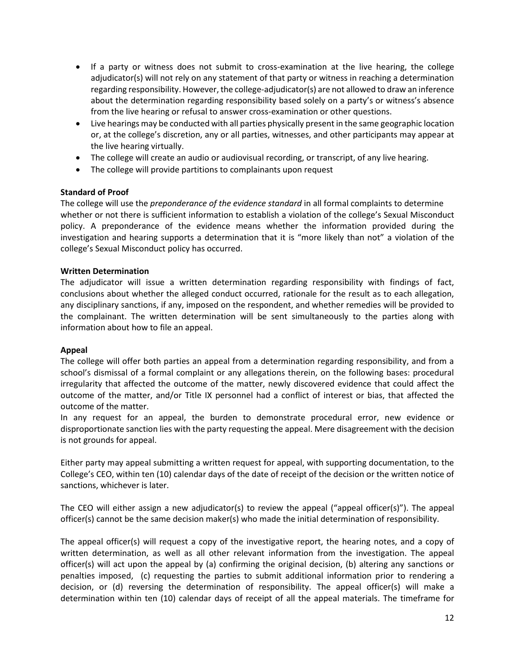- If a party or witness does not submit to cross-examination at the live hearing, the college adjudicator(s) will not rely on any statement of that party or witness in reaching a determination regarding responsibility. However, the college-adjudicator(s) are not allowed to draw an inference about the determination regarding responsibility based solely on a party's or witness's absence from the live hearing or refusal to answer cross-examination or other questions.
- Live hearings may be conducted with all parties physically present in the same geographic location or, at the college's discretion, any or all parties, witnesses, and other participants may appear at the live hearing virtually.
- The college will create an audio or audiovisual recording, or transcript, of any live hearing.
- The college will provide partitions to complainants upon request

# **Standard of Proof**

The college will use the *preponderance of the evidence standard* in all formal complaints to determine whether or not there is sufficient information to establish a violation of the college's Sexual Misconduct policy. A preponderance of the evidence means whether the information provided during the investigation and hearing supports a determination that it is "more likely than not" a violation of the college's Sexual Misconduct policy has occurred.

### **Written Determination**

The adjudicator will issue a written determination regarding responsibility with findings of fact, conclusions about whether the alleged conduct occurred, rationale for the result as to each allegation, any disciplinary sanctions, if any, imposed on the respondent, and whether remedies will be provided to the complainant. The written determination will be sent simultaneously to the parties along with information about how to file an appeal.

### **Appeal**

The college will offer both parties an appeal from a determination regarding responsibility, and from a school's dismissal of a formal complaint or any allegations therein, on the following bases: procedural irregularity that affected the outcome of the matter, newly discovered evidence that could affect the outcome of the matter, and/or Title IX personnel had a conflict of interest or bias, that affected the outcome of the matter.

In any request for an appeal, the burden to demonstrate procedural error, new evidence or disproportionate sanction lies with the party requesting the appeal. Mere disagreement with the decision is not grounds for appeal.

Either party may appeal submitting a written request for appeal, with supporting documentation, to the College's CEO, within ten (10) calendar days of the date of receipt of the decision or the written notice of sanctions, whichever is later.

The CEO will either assign a new adjudicator(s) to review the appeal ("appeal officer(s)"). The appeal officer(s) cannot be the same decision maker(s) who made the initial determination of responsibility.

The appeal officer(s) will request a copy of the investigative report, the hearing notes, and a copy of written determination, as well as all other relevant information from the investigation. The appeal officer(s) will act upon the appeal by (a) confirming the original decision, (b) altering any sanctions or penalties imposed, (c) requesting the parties to submit additional information prior to rendering a decision, or (d) reversing the determination of responsibility. The appeal officer(s) will make a determination within ten (10) calendar days of receipt of all the appeal materials. The timeframe for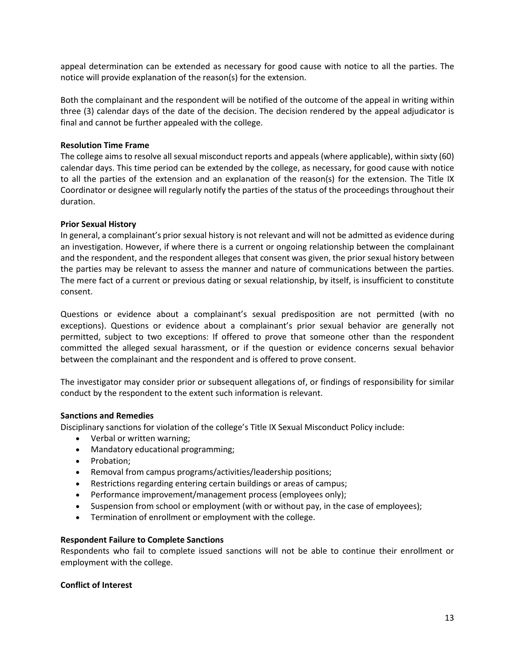appeal determination can be extended as necessary for good cause with notice to all the parties. The notice will provide explanation of the reason(s) for the extension.

Both the complainant and the respondent will be notified of the outcome of the appeal in writing within three (3) calendar days of the date of the decision. The decision rendered by the appeal adjudicator is final and cannot be further appealed with the college.

### **Resolution Time Frame**

The college aims to resolve all sexual misconduct reports and appeals (where applicable), within sixty (60) calendar days. This time period can be extended by the college, as necessary, for good cause with notice to all the parties of the extension and an explanation of the reason(s) for the extension. The Title IX Coordinator or designee will regularly notify the parties of the status of the proceedings throughout their duration.

#### **Prior Sexual History**

In general, a complainant's prior sexual history is not relevant and will not be admitted as evidence during an investigation. However, if where there is a current or ongoing relationship between the complainant and the respondent, and the respondent alleges that consent was given, the prior sexual history between the parties may be relevant to assess the manner and nature of communications between the parties. The mere fact of a current or previous dating or sexual relationship, by itself, is insufficient to constitute consent.

Questions or evidence about a complainant's sexual predisposition are not permitted (with no exceptions). Questions or evidence about a complainant's prior sexual behavior are generally not permitted, subject to two exceptions: If offered to prove that someone other than the respondent committed the alleged sexual harassment, or if the question or evidence concerns sexual behavior between the complainant and the respondent and is offered to prove consent.

The investigator may consider prior or subsequent allegations of, or findings of responsibility for similar conduct by the respondent to the extent such information is relevant.

### **Sanctions and Remedies**

Disciplinary sanctions for violation of the college's Title IX Sexual Misconduct Policy include:

- Verbal or written warning;
- Mandatory educational programming;
- Probation;
- Removal from campus programs/activities/leadership positions;
- Restrictions regarding entering certain buildings or areas of campus;
- Performance improvement/management process (employees only);
- Suspension from school or employment (with or without pay, in the case of employees);
- Termination of enrollment or employment with the college.

#### **Respondent Failure to Complete Sanctions**

Respondents who fail to complete issued sanctions will not be able to continue their enrollment or employment with the college.

#### **Conflict of Interest**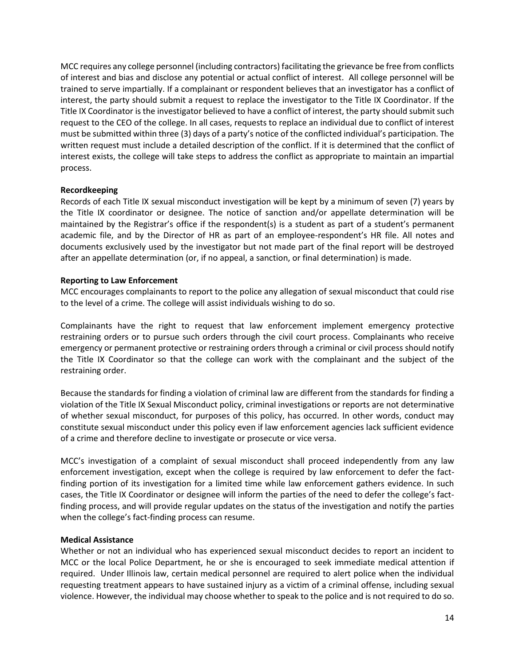MCC requires any college personnel (including contractors) facilitating the grievance be free from conflicts of interest and bias and disclose any potential or actual conflict of interest. All college personnel will be trained to serve impartially. If a complainant or respondent believes that an investigator has a conflict of interest, the party should submit a request to replace the investigator to the Title IX Coordinator. If the Title IX Coordinator is the investigator believed to have a conflict of interest, the party should submit such request to the CEO of the college. In all cases, requests to replace an individual due to conflict of interest must be submitted within three (3) days of a party's notice of the conflicted individual's participation. The written request must include a detailed description of the conflict. If it is determined that the conflict of interest exists, the college will take steps to address the conflict as appropriate to maintain an impartial process.

### **Recordkeeping**

Records of each Title IX sexual misconduct investigation will be kept by a minimum of seven (7) years by the Title IX coordinator or designee. The notice of sanction and/or appellate determination will be maintained by the Registrar's office if the respondent(s) is a student as part of a student's permanent academic file, and by the Director of HR as part of an employee-respondent's HR file. All notes and documents exclusively used by the investigator but not made part of the final report will be destroyed after an appellate determination (or, if no appeal, a sanction, or final determination) is made.

#### **Reporting to Law Enforcement**

MCC encourages complainants to report to the police any allegation of sexual misconduct that could rise to the level of a crime. The college will assist individuals wishing to do so.

Complainants have the right to request that law enforcement implement emergency protective restraining orders or to pursue such orders through the civil court process. Complainants who receive emergency or permanent protective or restraining orders through a criminal or civil process should notify the Title IX Coordinator so that the college can work with the complainant and the subject of the restraining order.

Because the standards for finding a violation of criminal law are different from the standards for finding a violation of the Title IX Sexual Misconduct policy, criminal investigations or reports are not determinative of whether sexual misconduct, for purposes of this policy, has occurred. In other words, conduct may constitute sexual misconduct under this policy even if law enforcement agencies lack sufficient evidence of a crime and therefore decline to investigate or prosecute or vice versa.

MCC's investigation of a complaint of sexual misconduct shall proceed independently from any law enforcement investigation, except when the college is required by law enforcement to defer the factfinding portion of its investigation for a limited time while law enforcement gathers evidence. In such cases, the Title IX Coordinator or designee will inform the parties of the need to defer the college's factfinding process, and will provide regular updates on the status of the investigation and notify the parties when the college's fact-finding process can resume.

### **Medical Assistance**

Whether or not an individual who has experienced sexual misconduct decides to report an incident to MCC or the local Police Department, he or she is encouraged to seek immediate medical attention if required. Under Illinois law, certain medical personnel are required to alert police when the individual requesting treatment appears to have sustained injury as a victim of a criminal offense, including sexual violence. However, the individual may choose whether to speak to the police and is not required to do so.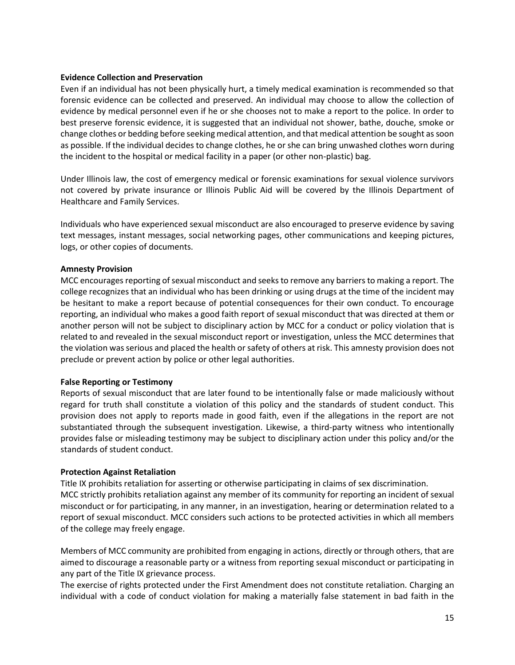#### **Evidence Collection and Preservation**

Even if an individual has not been physically hurt, a timely medical examination is recommended so that forensic evidence can be collected and preserved. An individual may choose to allow the collection of evidence by medical personnel even if he or she chooses not to make a report to the police. In order to best preserve forensic evidence, it is suggested that an individual not shower, bathe, douche, smoke or change clothes or bedding before seeking medical attention, and that medical attention be sought as soon as possible. If the individual decides to change clothes, he or she can bring unwashed clothes worn during the incident to the hospital or medical facility in a paper (or other non-plastic) bag.

Under Illinois law, the cost of emergency medical or forensic examinations for sexual violence survivors not covered by private insurance or Illinois Public Aid will be covered by the Illinois Department of Healthcare and Family Services.

Individuals who have experienced sexual misconduct are also encouraged to preserve evidence by saving text messages, instant messages, social networking pages, other communications and keeping pictures, logs, or other copies of documents.

#### **Amnesty Provision**

MCC encourages reporting of sexual misconduct and seeks to remove any barriers to making a report. The college recognizes that an individual who has been drinking or using drugs at the time of the incident may be hesitant to make a report because of potential consequences for their own conduct. To encourage reporting, an individual who makes a good faith report of sexual misconduct that was directed at them or another person will not be subject to disciplinary action by MCC for a conduct or policy violation that is related to and revealed in the sexual misconduct report or investigation, unless the MCC determines that the violation was serious and placed the health or safety of others at risk. This amnesty provision does not preclude or prevent action by police or other legal authorities.

### **False Reporting or Testimony**

Reports of sexual misconduct that are later found to be intentionally false or made maliciously without regard for truth shall constitute a violation of this policy and the standards of student conduct. This provision does not apply to reports made in good faith, even if the allegations in the report are not substantiated through the subsequent investigation. Likewise, a third-party witness who intentionally provides false or misleading testimony may be subject to disciplinary action under this policy and/or the standards of student conduct.

#### **Protection Against Retaliation**

Title IX prohibits retaliation for asserting or otherwise participating in claims of sex discrimination. MCC strictly prohibits retaliation against any member of its community for reporting an incident of sexual misconduct or for participating, in any manner, in an investigation, hearing or determination related to a report of sexual misconduct. MCC considers such actions to be protected activities in which all members of the college may freely engage.

Members of MCC community are prohibited from engaging in actions, directly or through others, that are aimed to discourage a reasonable party or a witness from reporting sexual misconduct or participating in any part of the Title IX grievance process.

The exercise of rights protected under the First Amendment does not constitute retaliation. Charging an individual with a code of conduct violation for making a materially false statement in bad faith in the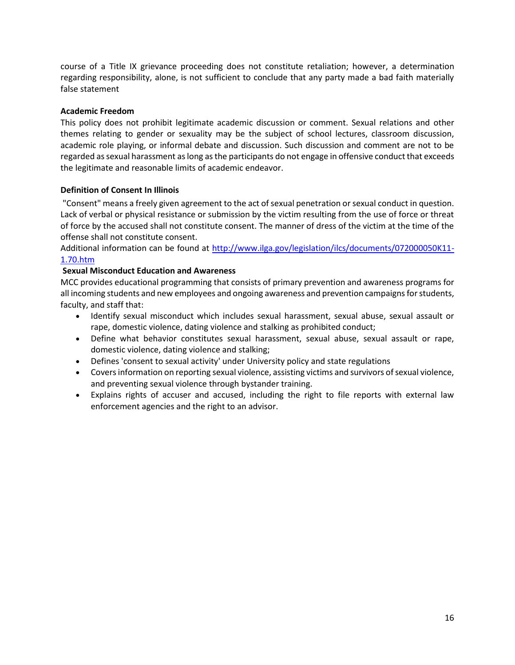course of a Title IX grievance proceeding does not constitute retaliation; however, a determination regarding responsibility, alone, is not sufficient to conclude that any party made a bad faith materially false statement

### **Academic Freedom**

This policy does not prohibit legitimate academic discussion or comment. Sexual relations and other themes relating to gender or sexuality may be the subject of school lectures, classroom discussion, academic role playing, or informal debate and discussion. Such discussion and comment are not to be regarded as sexual harassment as long as the participants do not engage in offensive conduct that exceeds the legitimate and reasonable limits of academic endeavor.

# **Definition of Consent In Illinois**

"Consent" means a freely given agreement to the act of sexual penetration or sexual conduct in question. Lack of verbal or physical resistance or submission by the victim resulting from the use of force or threat of force by the accused shall not constitute consent. The manner of dress of the victim at the time of the offense shall not constitute consent.

Additional information can be found at [http://www.ilga.gov/legislation/ilcs/documents/072000050K11-](http://www.ilga.gov/legislation/ilcs/documents/072000050K11-1.70.htm) [1.70.htm](http://www.ilga.gov/legislation/ilcs/documents/072000050K11-1.70.htm)

# **Sexual Misconduct Education and Awareness**

MCC provides educational programming that consists of primary prevention and awareness programs for all incoming students and new employees and ongoing awareness and prevention campaigns for students, faculty, and staff that:

- Identify sexual misconduct which includes sexual harassment, sexual abuse, sexual assault or rape, domestic violence, dating violence and stalking as prohibited conduct;
- Define what behavior constitutes sexual harassment, sexual abuse, sexual assault or rape, domestic violence, dating violence and stalking;
- Defines 'consent to sexual activity' under University policy and state regulations
- Covers information on reporting sexual violence, assisting victims and survivors of sexual violence, and preventing sexual violence through bystander training.
- Explains rights of accuser and accused, including the right to file reports with external law enforcement agencies and the right to an advisor.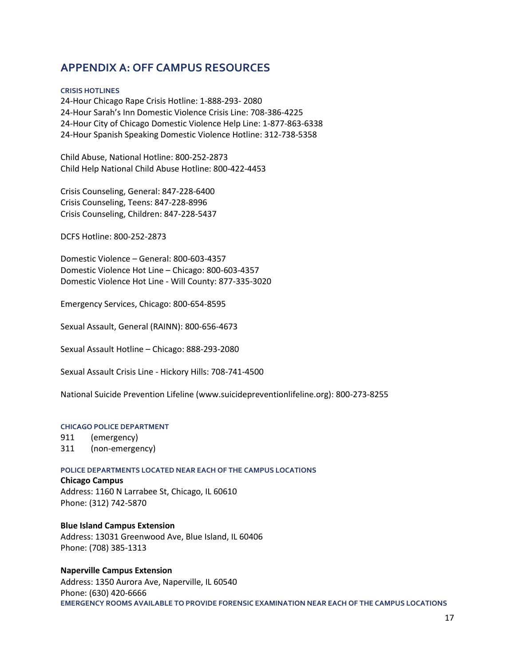# **APPENDIX A: OFF CAMPUS RESOURCES**

#### **CRISIS HOTLINES**

24-Hour Chicago Rape Crisis Hotline: 1-888-293- 2080 24-Hour Sarah's Inn Domestic Violence Crisis Line: 708-386-4225 24-Hour City of Chicago Domestic Violence Help Line: 1-877-863-6338 24-Hour Spanish Speaking Domestic Violence Hotline: 312-738-5358

Child Abuse, National Hotline: 800-252-2873 Child Help National Child Abuse Hotline: 800-422-4453

Crisis Counseling, General: 847-228-6400 Crisis Counseling, Teens: 847-228-8996 Crisis Counseling, Children: 847-228-5437

DCFS Hotline: 800-252-2873

Domestic Violence – General: 800-603-4357 Domestic Violence Hot Line – Chicago: 800-603-4357 Domestic Violence Hot Line - Will County: 877-335-3020

Emergency Services, Chicago: 800-654-8595

Sexual Assault, General (RAINN): 800-656-4673

Sexual Assault Hotline – Chicago: 888-293-2080

Sexual Assault Crisis Line - Hickory Hills: 708-741-4500

National Suicide Prevention Lifeline (www.suicidepreventionlifeline.org): 800-273-8255

#### **CHICAGO POLICE DEPARTMENT**

911 (emergency) 311 (non-emergency)

#### **POLICE DEPARTMENTS LOCATED NEAR EACH OF THE CAMPUS LOCATIONS**

**Chicago Campus** Address: 1160 N Larrabee St, Chicago, IL 60610 Phone: (312) 742-5870

**Blue Island Campus Extension** Address: 13031 Greenwood Ave, Blue Island, IL 60406 Phone: (708) 385-1313

**Naperville Campus Extension** Address: 1350 Aurora Ave, Naperville, IL 60540 Phone: (630) 420-6666 **EMERGENCY ROOMS AVAILABLE TO PROVIDE FORENSIC EXAMINATION NEAR EACH OF THE CAMPUS LOCATIONS**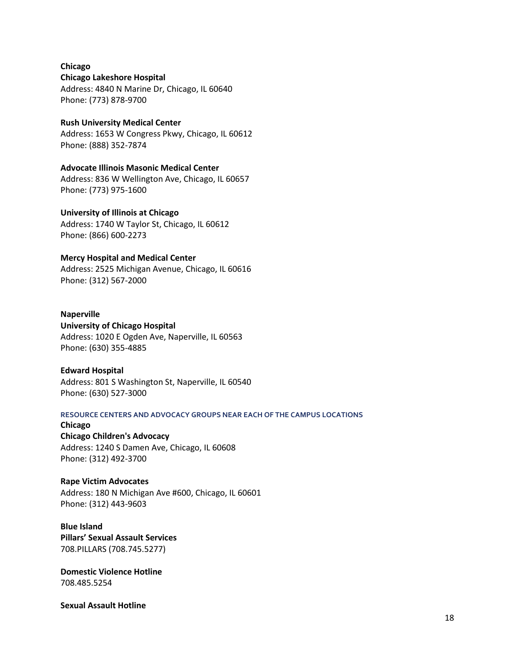**Chicago Chicago Lakeshore Hospital** Address: 4840 N Marine Dr, Chicago, IL 60640 Phone: (773) 878-9700

**Rush University Medical Center** Address: 1653 W Congress Pkwy, Chicago, IL 60612 Phone: (888) 352-7874

**Advocate Illinois Masonic Medical Center** Address: 836 W Wellington Ave, Chicago, IL 60657 Phone: (773) 975-1600

**University of Illinois at Chicago** Address: 1740 W Taylor St, Chicago, IL 60612 Phone: (866) 600-2273

**Mercy Hospital and Medical Center** Address: 2525 Michigan Avenue, Chicago, IL 60616 Phone: (312) 567-2000

**Naperville University of Chicago Hospital**  Address: 1020 E Ogden Ave, Naperville, IL 60563 Phone: (630) 355-4885

**Edward Hospital**  Address: 801 S Washington St, Naperville, IL 60540 Phone: (630) 527-3000

**RESOURCE CENTERS AND ADVOCACY GROUPS NEAR EACH OF THE CAMPUS LOCATIONS**

**Chicago Chicago Children's Advocacy**  Address: 1240 S Damen Ave, Chicago, IL 60608 Phone: (312) 492-3700

**Rape Victim Advocates**  Address: 180 N Michigan Ave #600, Chicago, IL 60601 Phone: (312) 443-9603

**Blue Island Pillars' Sexual Assault Services** 708.PILLARS (708.745.5277)

**Domestic Violence Hotline** 708.485.5254

**Sexual Assault Hotline**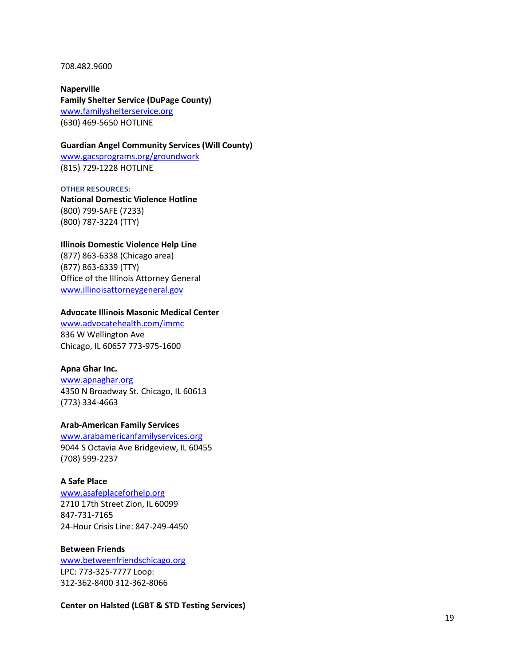708.482.9600

**Naperville Family Shelter Service (DuPage County)** [www.familyshelterservice.org](http://www.familyshelterservice.org/) (630) 469 -5650 HOTLINE

#### **Guardian Angel Community Services (Will County)**

[www.gacsprograms.org/groundwork](http://www.gacsprograms.org/groundwork) (815) 729 -1228 HOTLINE

**OTHER RESOU RCES: National Domestic Violence Hotline** (800) 799 -SAFE (7233) (800) 787 -3224 (TTY)

**Illinois Domestic Violence Help Line** (877) 863 -6338 (Chicago area) (877) 863 -6339 (TTY) Office of the Illinois Attorney General [www.illinoisattorneygeneral.gov](http://www.illinoisattorneygeneral.gov/)

#### **Advocate Illinois Masonic Medical Center**

[www.advocatehealth.com/immc](http://www.advocatehealth.com/immc) 836 W Wellington Ave Chicago, IL 60657 773 -975 -1600

#### **Apna Ghar Inc .**

[www.apnaghar.org](http://www.apnaghar.org/) 4350 N Broadway St. Chicago, IL 60613 (773) 334 -4663

#### **Arab -American Family Services**

[www.arabamericanfamilyservices.org](http://www.arabamericanfamilyservices.org/) 9044 S Octavia Ave Bridgeview, IL 60455 (708) 599 -2237

#### **A Safe Place**

[www.asafeplaceforhelp.org](http://www.asafeplaceforhelp.org/) 2710 17th Street Zion, IL 60099 847 -731 -7165 24 -Hour Crisis Line: 847 -249 -4450

### **Between Friends**

[www.betweenfriendschicago.org](http://www.betweenfriendschicago.org/) LPC: 773 -325 -7777 Loop: 312 -362 -8400 312 -362 -8066

**Center on Halsted (LGBT & STD Testing Services)**